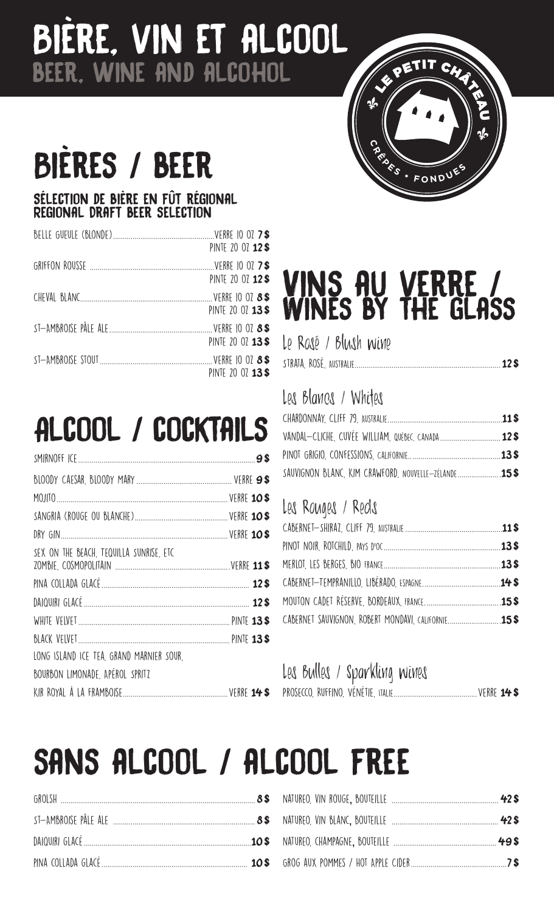## Bière, vin et alcool beer, wine and alcohol

## BIERES / BEER

#### Sélection de bière en fût régional Regional Draft beer selection

| PINTE 20 07 12\$  |
|-------------------|
| PINTE 20 07 12 \$ |
| PINTE 20 07 13\$  |
| PINTE 20 07 13\$  |
| PINTE 20 07 13\$  |

## Alcool / cocktails

### Vins au verre / Wines by the glass

**<sup>C</sup> <sup>R</sup> <sup>Ê</sup> <sup>P</sup> <sup>E</sup> <sup>S</sup> • <sup>F</sup> <sup>O</sup> <sup>N</sup> <sup>D</sup> <sup>U</sup> <sup>E</sup>**

PETIT CHA

Le Rosé / Blush wine

|--|--|--|--|--|

### Les Blancs / Whites

| VANDAL-CLICHE, CUVÉE WILLIAM, QUÉBEC, CANADA  12\$ |  |
|----------------------------------------------------|--|
|                                                    |  |
| SAUVIGNON BLANC, KIM CRAWFORD, NOUVELLE-ZÉLANDE    |  |

### Les Rouges / Reds

### Les Bulles / Sparkling wines

## sans alcool / alcool free